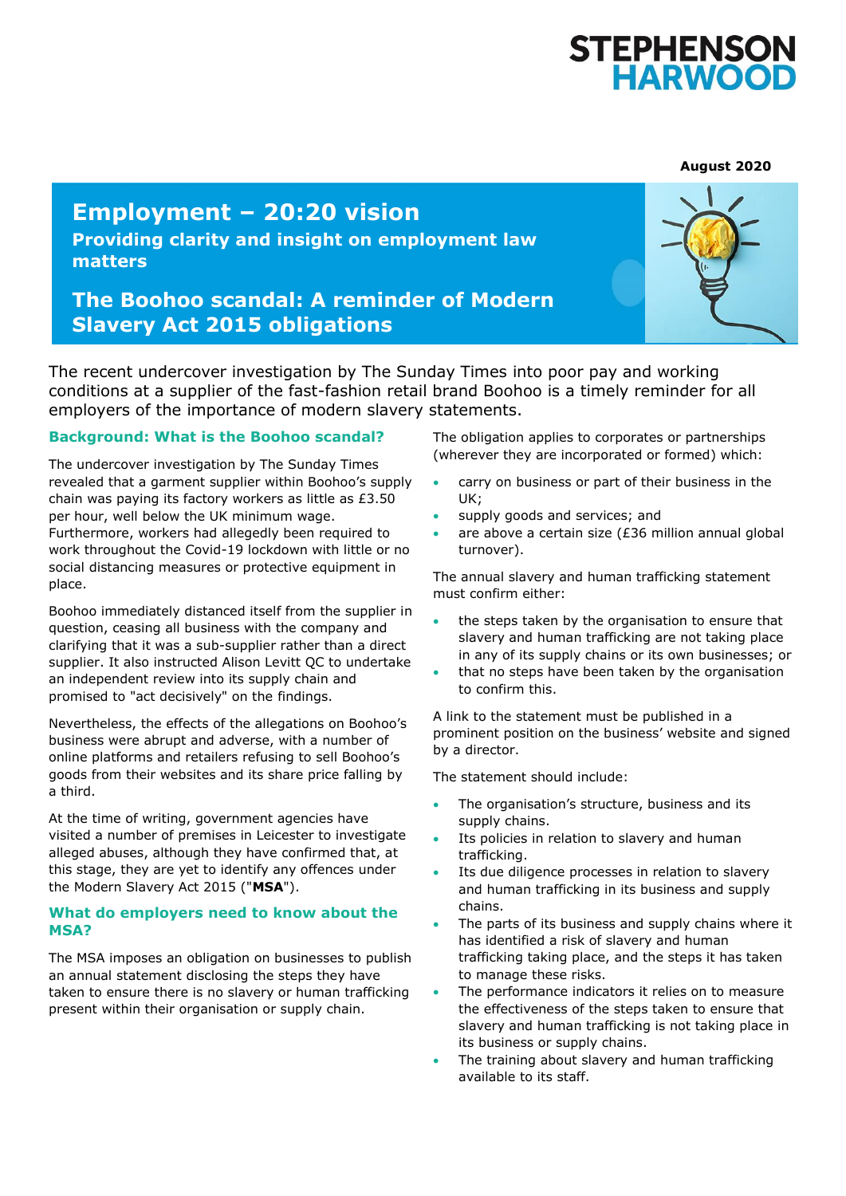# STEPHENSON<br>HARWOOD

**August 2020**

## **Employment – 20:20 vision**

**Providing clarity and insight on employment law matters**

### **The Boohoo scandal: A reminder of Modern Slavery Act 2015 obligations**



The recent undercover investigation by The Sunday Times into poor pay and working conditions at a supplier of the fast-fashion retail brand Boohoo is a timely reminder for all employers of the importance of modern slavery statements.

#### **Background: What is the Boohoo scandal?**

The undercover investigation by The Sunday Times revealed that a garment supplier within Boohoo's supply chain was paying its factory workers as little as £3.50 per hour, well below the UK minimum wage. Furthermore, workers had allegedly been required to work throughout the Covid-19 lockdown with little or no social distancing measures or protective equipment in place.

Boohoo immediately distanced itself from the supplier in question, ceasing all business with the company and clarifying that it was a sub-supplier rather than a direct supplier. It also instructed Alison Levitt QC to undertake an independent review into its supply chain and promised to "act decisively" on the findings.

Nevertheless, the effects of the allegations on Boohoo's business were abrupt and adverse, with a number of online platforms and retailers refusing to sell Boohoo's goods from their websites and its share price falling by a third.

At the time of writing, government agencies have visited a number of premises in Leicester to investigate alleged abuses, although they have confirmed that, at this stage, they are yet to identify any offences under the Modern Slavery Act 2015 ("**MSA**").

#### **What do employers need to know about the MSA?**

The MSA imposes an obligation on businesses to publish an annual statement disclosing the steps they have taken to ensure there is no slavery or human trafficking present within their organisation or supply chain.

The obligation applies to corporates or partnerships (wherever they are incorporated or formed) which:

- carry on business or part of their business in the UK;
- supply goods and services; and
- are above a certain size (£36 million annual global turnover).

The annual slavery and human trafficking statement must confirm either:

- the steps taken by the organisation to ensure that slavery and human trafficking are not taking place in any of its supply chains or its own businesses; or
- that no steps have been taken by the organisation to confirm this.

A link to the statement must be published in a prominent position on the business' website and signed by a director.

The statement should include:

- The organisation's structure, business and its supply chains.
- Its policies in relation to slavery and human trafficking.
- Its due diligence processes in relation to slavery and human trafficking in its business and supply chains.
- The parts of its business and supply chains where it has identified a risk of slavery and human trafficking taking place, and the steps it has taken to manage these risks.
- The performance indicators it relies on to measure the effectiveness of the steps taken to ensure that slavery and human trafficking is not taking place in its business or supply chains.
- The training about slavery and human trafficking available to its staff.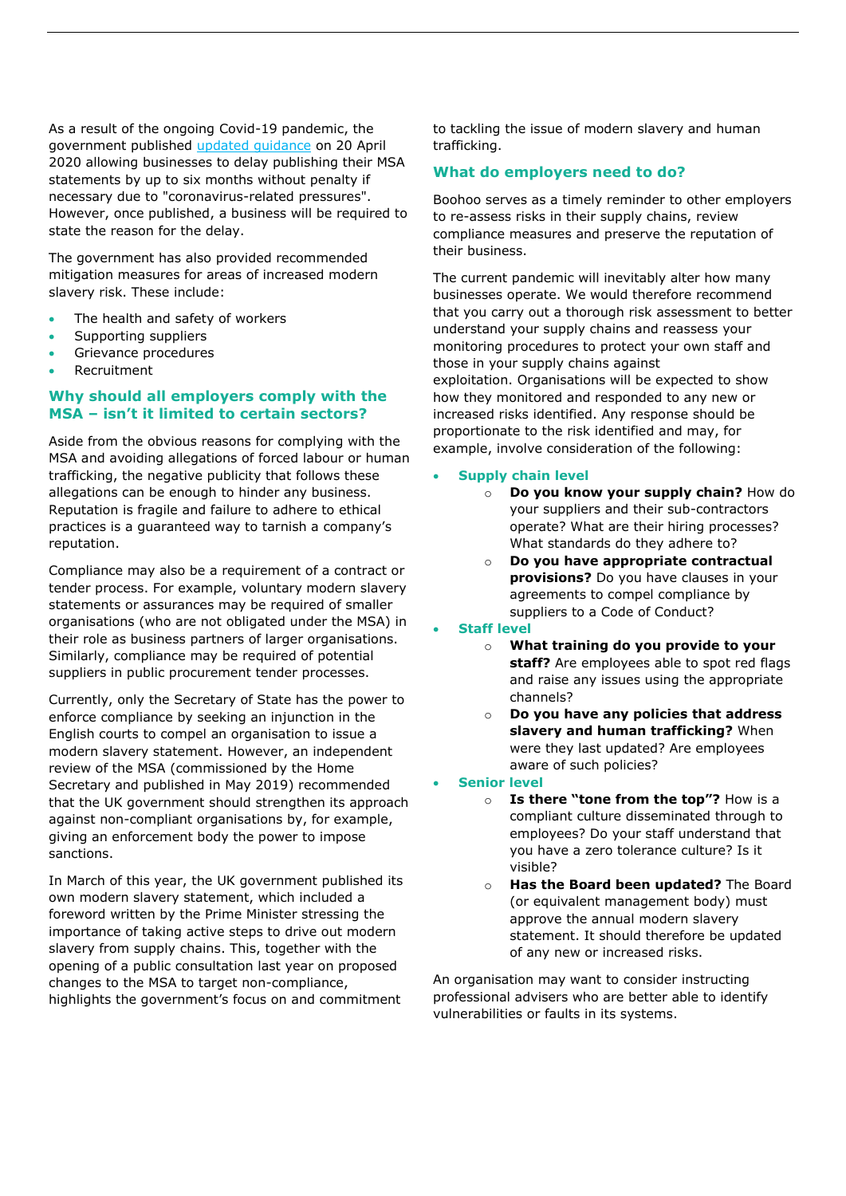As a result of the ongoing Covid-19 pandemic, the government published [updated guidance](https://www.gov.uk/government/publications/coronavirus-covid-19-reporting-modern-slavery-for-businesses/modern-slavery-reporting-during-the-coronavirus-covid-19-pandemic) on 20 April 2020 allowing businesses to delay publishing their MSA statements by up to six months without penalty if necessary due to "coronavirus-related pressures". However, once published, a business will be required to state the reason for the delay.

The government has also provided recommended mitigation measures for areas of increased modern slavery risk. These include:

- The health and safety of workers
- Supporting suppliers
- Grievance procedures
- Recruitment

#### **Why should all employers comply with the MSA – isn't it limited to certain sectors?**

Aside from the obvious reasons for complying with the MSA and avoiding allegations of forced labour or human trafficking, the negative publicity that follows these allegations can be enough to hinder any business. Reputation is fragile and failure to adhere to ethical practices is a guaranteed way to tarnish a company's reputation.

Compliance may also be a requirement of a contract or tender process. For example, voluntary modern slavery statements or assurances may be required of smaller organisations (who are not obligated under the MSA) in their role as business partners of larger organisations. Similarly, compliance may be required of potential suppliers in public procurement tender processes.

Currently, only the Secretary of State has the power to enforce compliance by seeking an injunction in the English courts to compel an organisation to issue a modern slavery statement. However, an independent review of the MSA (commissioned by the Home Secretary and published in May 2019) recommended that the UK government should strengthen its approach against non-compliant organisations by, for example, giving an enforcement body the power to impose sanctions.

In March of this year, the UK government published its own modern slavery statement, which included a foreword written by the Prime Minister stressing the importance of taking active steps to drive out modern slavery from supply chains. This, together with the opening of a public consultation last year on proposed changes to the MSA to target non-compliance, highlights the government's focus on and commitment

to tackling the issue of modern slavery and human trafficking.

#### **What do employers need to do?**

Boohoo serves as a timely reminder to other employers to re-assess risks in their supply chains, review compliance measures and preserve the reputation of their business.

The current pandemic will inevitably alter how many businesses operate. We would therefore recommend that you carry out a thorough risk assessment to better understand your supply chains and reassess your monitoring procedures to protect your own staff and those in your supply chains against exploitation. Organisations will be expected to show how they monitored and responded to any new or increased risks identified. Any response should be proportionate to the risk identified and may, for example, involve consideration of the following:

#### **Supply chain level**

- o **Do you know your supply chain?** How do your suppliers and their sub-contractors operate? What are their hiring processes? What standards do they adhere to?
	- o **Do you have appropriate contractual provisions?** Do you have clauses in your agreements to compel compliance by suppliers to a Code of Conduct?

**Staff level**

- o **What training do you provide to your staff?** Are employees able to spot red flags and raise any issues using the appropriate channels?
- o **Do you have any policies that address slavery and human trafficking?** When were they last updated? Are employees aware of such policies?

#### **Senior level**

- o **Is there "tone from the top"?** How is a compliant culture disseminated through to employees? Do your staff understand that you have a zero tolerance culture? Is it visible?
- o **Has the Board been updated?** The Board (or equivalent management body) must approve the annual modern slavery statement. It should therefore be updated of any new or increased risks.

An organisation may want to consider instructing professional advisers who are better able to identify vulnerabilities or faults in its systems.